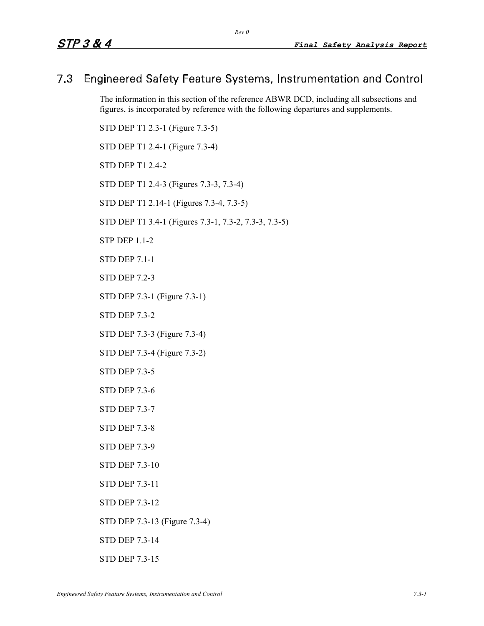# 7.3 Engineered Safety Feature Systems, Instrumentation and Control

The information in this section of the reference ABWR DCD, including all subsections and figures, is incorporated by reference with the following departures and supplements.

STD DEP T1 2.3-1 (Figure 7.3-5) STD DEP T1 2.4-1 (Figure 7.3-4) STD DEP T1 2.4-2 STD DEP T1 2.4-3 (Figures 7.3-3, 7.3-4) STD DEP T1 2.14-1 (Figures 7.3-4, 7.3-5) STD DEP T1 3.4-1 (Figures 7.3-1, 7.3-2, 7.3-3, 7.3-5) STP DEP 1.1-2 STD DEP 7.1-1 STD DEP 7.2-3 STD DEP 7.3-1 (Figure 7.3-1) STD DEP 7.3-2 STD DEP 7.3-3 (Figure 7.3-4) STD DEP 7.3-4 (Figure 7.3-2) STD DEP 7.3-5 STD DEP 7.3-6 STD DEP 7.3-7 STD DEP 7.3-8 STD DEP 7.3-9 STD DEP 7.3-10

- STD DEP 7.3-11
- STD DEP 7.3-12
- STD DEP 7.3-13 (Figure 7.3-4)
- STD DEP 7.3-14
- STD DEP 7.3-15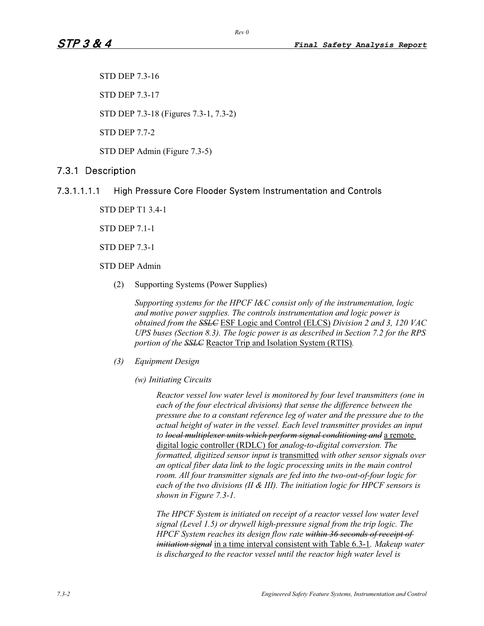STD DEP 7.3-16

STD DEP 7.3-17

STD DEP 7.3-18 (Figures 7.3-1, 7.3-2)

STD DEP 7.7-2

STD DEP Admin (Figure 7.3-5)

## 7.3.1 Description

## 7.3.1.1.1.1 High Pressure Core Flooder System Instrumentation and Controls

STD DEP T1 3.4-1

STD DEP 7.1-1

STD DEP 7.3-1

STD DEP Admin

(2) Supporting Systems (Power Supplies)

*Supporting systems for the HPCF I&C consist only of the instrumentation, logic and motive power supplies. The controls instrumentation and logic power is obtained from the SSLC* ESF Logic and Control (ELCS) *Division 2 and 3, 120 VAC UPS buses (Section 8.3). The logic power is as described in Section 7.2 for the RPS portion of the SSLC* Reactor Trip and Isolation System (RTIS)*.*

- *(3) Equipment Design* 
	- *(w) Initiating Circuits*

*Reactor vessel low water level is monitored by four level transmitters (one in each of the four electrical divisions) that sense the difference between the pressure due to a constant reference leg of water and the pressure due to the actual height of water in the vessel. Each level transmitter provides an input to local multiplexer units which perform signal conditioning and* a remote digital logic controller (RDLC) for *analog-to-digital conversion. The formatted, digitized sensor input is* transmitted *with other sensor signals over an optical fiber data link to the logic processing units in the main control room. All four transmitter signals are fed into the two-out-of-four logic for each of the two divisions (II & III). The initiation logic for HPCF sensors is shown in Figure 7.3-1.* 

*The HPCF System is initiated on receipt of a reactor vessel low water level signal (Level 1.5) or drywell high-pressure signal from the trip logic. The HPCF System reaches its design flow rate within 36 seconds of receipt of initiation signal* in a time interval consistent with Table 6.3-1*. Makeup water is discharged to the reactor vessel until the reactor high water level is*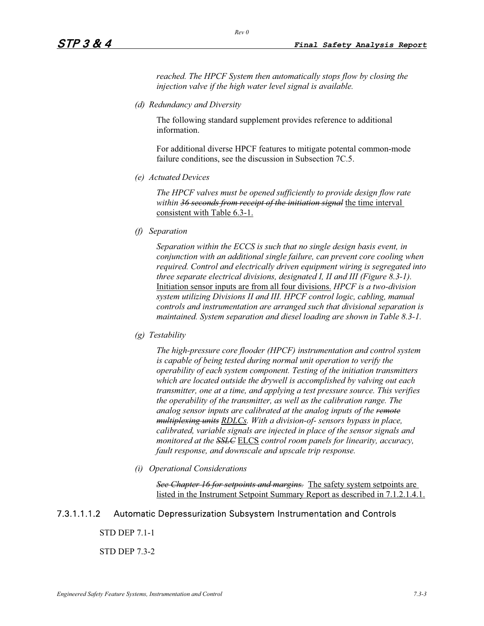*reached. The HPCF System then automatically stops flow by closing the injection valve if the high water level signal is available.* 

*(d) Redundancy and Diversity* 

The following standard supplement provides reference to additional information.

For additional diverse HPCF features to mitigate potental common-mode failure conditions, see the discussion in Subsection 7C.5.

*(e) Actuated Devices* 

*The HPCF valves must be opened sufficiently to provide design flow rate within 36 seconds from receipt of the initiation signal* the time interval consistent with Table 6.3-1.

*(f) Separation*

*Separation within the ECCS is such that no single design basis event, in conjunction with an additional single failure, can prevent core cooling when required. Control and electrically driven equipment wiring is segregated into three separate electrical divisions, designated I, II and III (Figure 8.3-1).*  Initiation sensor inputs are from all four divisions. *HPCF is a two-division system utilizing Divisions II and III. HPCF control logic, cabling, manual controls and instrumentation are arranged such that divisional separation is maintained. System separation and diesel loading are shown in Table 8.3-1.* 

*(g) Testability*

*The high-pressure core flooder (HPCF) instrumentation and control system is capable of being tested during normal unit operation to verify the operability of each system component. Testing of the initiation transmitters which are located outside the drywell is accomplished by valving out each transmitter, one at a time, and applying a test pressure source. This verifies the operability of the transmitter, as well as the calibration range. The analog sensor inputs are calibrated at the analog inputs of the remote multiplexing units RDLCs. With a division-of- sensors bypass in place, calibrated, variable signals are injected in place of the sensor signals and monitored at the SSLC* ELCS *control room panels for linearity, accuracy, fault response, and downscale and upscale trip response.* 

*(i) Operational Considerations* 

*See Chapter 16 for setpoints and margins.* The safety system setpoints are listed in the Instrument Setpoint Summary Report as described in 7.1.2.1.4.1.

## 7.3.1.1.1.2 Automatic Depressurization Subsystem Instrumentation and Controls

STD DEP 7.1-1

STD DEP 7.3-2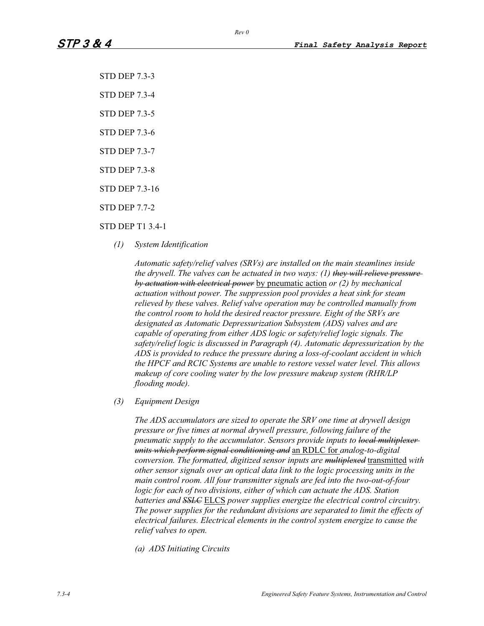- STD DEP 7.3-3
- STD DEP 7.3-4
- STD DEP 7.3-5
- STD DEP 7.3-6
- STD DEP 7.3-7
- STD DEP 7.3-8
- STD DEP 7.3-16
- STD DEP 7.7-2

### STD DEP T1 3.4-1

*(1) System Identification* 

*Automatic safety/relief valves (SRVs) are installed on the main steamlines inside the drywell. The valves can be actuated in two ways: (1) they will relieve pressure by actuation with electrical power* by pneumatic action *or (2) by mechanical actuation without power. The suppression pool provides a heat sink for steam relieved by these valves. Relief valve operation may be controlled manually from the control room to hold the desired reactor pressure. Eight of the SRVs are designated as Automatic Depressurization Subsystem (ADS) valves and are capable of operating from either ADS logic or safety/relief logic signals. The safety/relief logic is discussed in Paragraph (4). Automatic depressurization by the ADS is provided to reduce the pressure during a loss-of-coolant accident in which the HPCF and RCIC Systems are unable to restore vessel water level. This allows makeup of core cooling water by the low pressure makeup system (RHR/LP flooding mode).* 

#### *(3) Equipment Design*

*The ADS accumulators are sized to operate the SRV one time at drywell design pressure or five times at normal drywell pressure, following failure of the pneumatic supply to the accumulator. Sensors provide inputs to local multiplexer units which perform signal conditioning and* an RDLC for *analog-to-digital conversion. The formatted, digitized sensor inputs are multiplexed* transmitted *with other sensor signals over an optical data link to the logic processing units in the main control room. All four transmitter signals are fed into the two-out-of-four logic for each of two divisions, either of which can actuate the ADS. Station batteries and SSLC* ELCS *power supplies energize the electrical control circuitry. The power supplies for the redundant divisions are separated to limit the effects of electrical failures. Electrical elements in the control system energize to cause the relief valves to open.* 

*(a) ADS Initiating Circuits*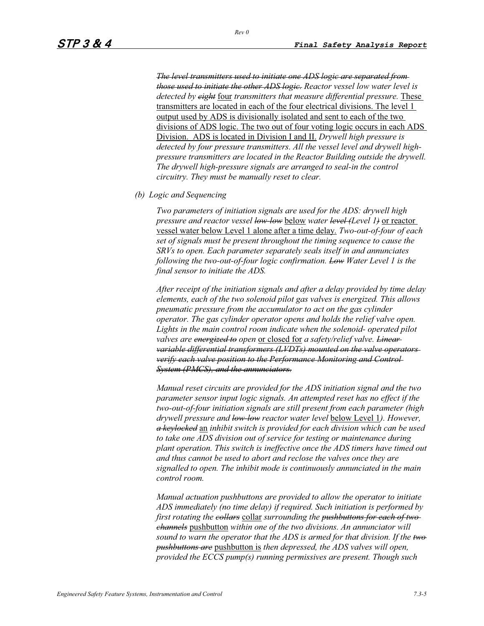*The level transmitters used to initiate one ADS logic are separated from those used to initiate the other ADS logic. Reactor vessel low water level is detected by eight* four *transmitters that measure differential pressure.* These transmitters are located in each of the four electrical divisions. The level 1 output used by ADS is divisionally isolated and sent to each of the two divisions of ADS logic. The two out of four voting logic occurs in each ADS Division. ADS is located in Division I and II. *Drywell high pressure is detected by four pressure transmitters. All the vessel level and drywell highpressure transmitters are located in the Reactor Building outside the drywell. The drywell high-pressure signals are arranged to seal-in the control circuitry. They must be manually reset to clear.* 

*(b) Logic and Sequencing* 

*Two parameters of initiation signals are used for the ADS: drywell high pressure and reactor vessel low-low* below *water level (Level 1)* or reactor vessel water below Level 1 alone after a time delay*. Two-out-of-four of each set of signals must be present throughout the timing sequence to cause the SRVs to open. Each parameter separately seals itself in and annunciates following the two-out-of-four logic confirmation. Low Water Level 1 is the final sensor to initiate the ADS.* 

*After receipt of the initiation signals and after a delay provided by time delay elements, each of the two solenoid pilot gas valves is energized. This allows pneumatic pressure from the accumulator to act on the gas cylinder operator. The gas cylinder operator opens and holds the relief valve open. Lights in the main control room indicate when the solenoid- operated pilot valves are energized to open* or closed for *a safety/relief valve. Linear variable differential transformers (LVDTs) mounted on the valve operators verify each valve position to the Performance Monitoring and Control System (PMCS), and the annunciators.*

*Manual reset circuits are provided for the ADS initiation signal and the two parameter sensor input logic signals. An attempted reset has no effect if the two-out-of-four initiation signals are still present from each parameter (high drywell pressure and low-low reactor water level* below Level 1*). However, a keylocked* an *inhibit switch is provided for each division which can be used to take one ADS division out of service for testing or maintenance during plant operation. This switch is ineffective once the ADS timers have timed out and thus cannot be used to abort and reclose the valves once they are signalled to open. The inhibit mode is continuously annunciated in the main control room.* 

*Manual actuation pushbuttons are provided to allow the operator to initiate ADS immediately (no time delay) if required. Such initiation is performed by first rotating the collars* collar *surrounding the pushbuttons for each of two channels* pushbutton *within one of the two divisions. An annunciator will sound to warn the operator that the ADS is armed for that division. If the two pushbuttons are* pushbutton is *then depressed, the ADS valves will open, provided the ECCS pump(s) running permissives are present. Though such*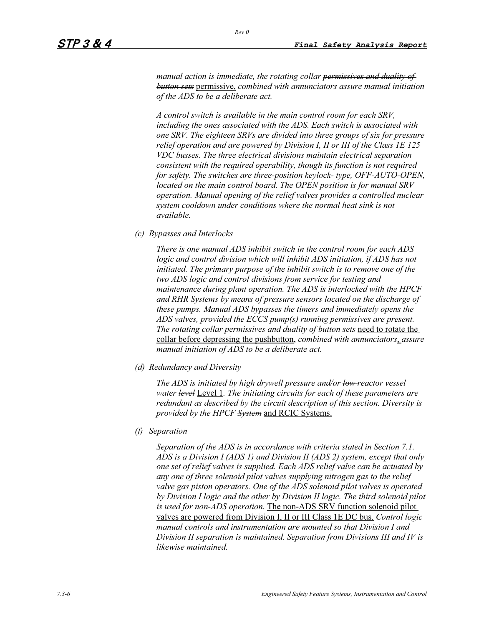*manual action is immediate, the rotating collar permissives and duality of button sets* permissive, *combined with annunciators assure manual initiation of the ADS to be a deliberate act.* 

*A control switch is available in the main control room for each SRV, including the ones associated with the ADS. Each switch is associated with one SRV. The eighteen SRVs are divided into three groups of six for pressure relief operation and are powered by Division I, II or III of the Class 1E 125 VDC busses. The three electrical divisions maintain electrical separation consistent with the required operability, though its function is not required for safety. The switches are three-position keylock- type, OFF-AUTO-OPEN, located on the main control board. The OPEN position is for manual SRV operation. Manual opening of the relief valves provides a controlled nuclear system cooldown under conditions where the normal heat sink is not available.*

*(c) Bypasses and Interlocks* 

*There is one manual ADS inhibit switch in the control room for each ADS*  logic and control division which will inhibit ADS initiation, if ADS has not *initiated. The primary purpose of the inhibit switch is to remove one of the two ADS logic and control divisions from service for testing and maintenance during plant operation. The ADS is interlocked with the HPCF and RHR Systems by means of pressure sensors located on the discharge of these pumps. Manual ADS bypasses the timers and immediately opens the ADS valves, provided the ECCS pump(s) running permissives are present. The rotating collar permissives and duality of button sets* need to rotate the collar before depressing the pushbutton, *combined with annunciators*, *assure manual initiation of ADS to be a deliberate act.* 

*(d) Redundancy and Diversity* 

*The ADS is initiated by high drywell pressure and/or low reactor vessel water level* Level 1*. The initiating circuits for each of these parameters are redundant as described by the circuit description of this section. Diversity is provided by the HPCF System* and RCIC Systems.

*(f) Separation*

*Separation of the ADS is in accordance with criteria stated in Section 7.1. ADS is a Division I (ADS 1) and Division II (ADS 2) system, except that only one set of relief valves is supplied. Each ADS relief valve can be actuated by any one of three solenoid pilot valves supplying nitrogen gas to the relief valve gas piston operators. One of the ADS solenoid pilot valves is operated by Division I logic and the other by Division II logic. The third solenoid pilot is used for non-ADS operation.* The non-ADS SRV function solenoid pilot valves are powered from Division I, II or III Class 1E DC bus. *Control logic manual controls and instrumentation are mounted so that Division I and Division II separation is maintained. Separation from Divisions III and IV is likewise maintained.*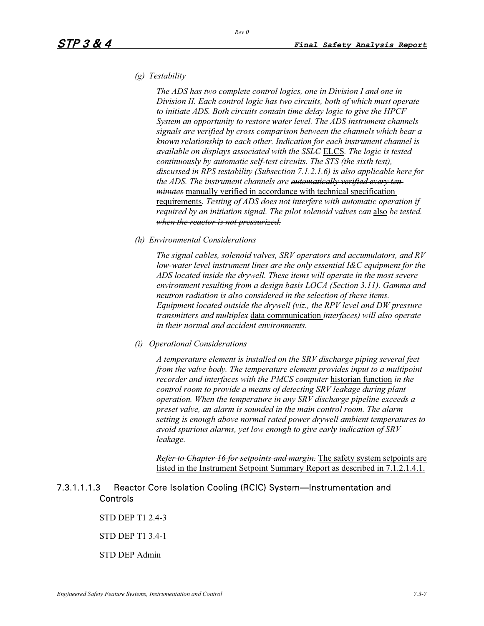# *(g) Testability*

*The ADS has two complete control logics, one in Division I and one in Division II. Each control logic has two circuits, both of which must operate to initiate ADS. Both circuits contain time delay logic to give the HPCF System an opportunity to restore water level. The ADS instrument channels signals are verified by cross comparison between the channels which bear a known relationship to each other. Indication for each instrument channel is available on displays associated with the SSLC* ELCS*. The logic is tested continuously by automatic self-test circuits. The STS (the sixth test), discussed in RPS testability (Subsection 7.1.2.1.6) is also applicable here for the ADS. The instrument channels are automatically verified every ten minutes* manually verified in accordance with technical specification requirements*. Testing of ADS does not interfere with automatic operation if*  required by an initiation signal. The pilot solenoid valves can **also** be tested. *when the reactor is not pressurized.*

#### *(h) Environmental Considerations*

*The signal cables, solenoid valves, SRV operators and accumulators, and RV low-water level instrument lines are the only essential I&C equipment for the ADS located inside the drywell. These items will operate in the most severe environment resulting from a design basis LOCA (Section 3.11). Gamma and neutron radiation is also considered in the selection of these items. Equipment located outside the drywell (viz., the RPV level and DW pressure transmitters and multiplex* data communication *interfaces) will also operate in their normal and accident environments.* 

#### *(i) Operational Considerations*

*A temperature element is installed on the SRV discharge piping several feet from the valve body. The temperature element provides input to a multipoint recorder and interfaces with the PMCS computer* historian function *in the control room to provide a means of detecting SRV leakage during plant operation. When the temperature in any SRV discharge pipeline exceeds a preset valve, an alarm is sounded in the main control room. The alarm setting is enough above normal rated power drywell ambient temperatures to avoid spurious alarms, yet low enough to give early indication of SRV leakage.*

*Refer to Chapter 16 for setpoints and margin.* The safety system setpoints are listed in the Instrument Setpoint Summary Report as described in 7.1.2.1.4.1.

## 7.3.1.1.1.3 Reactor Core Isolation Cooling (RCIC) System—Instrumentation and Controls

STD DEP T1 2.4-3

STD DEP T1 3.4-1

STD DEP Admin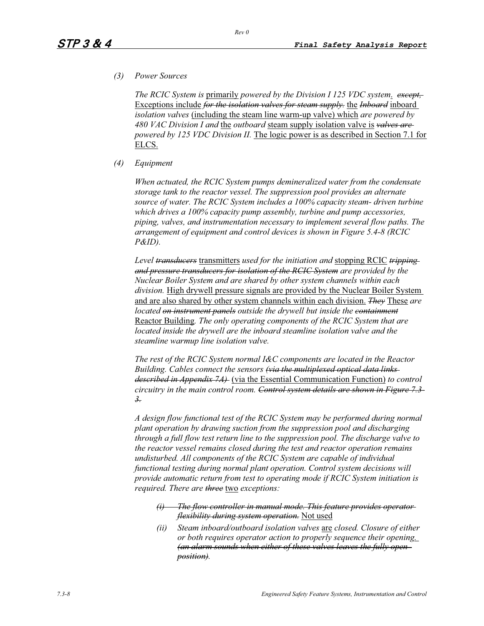### *(3) Power Sources*

*The RCIC System is* primarily *powered by the Division I 125 VDC system*. *except,*  Exceptions include *for the isolation valves for steam supply.* the *Inboard* inboard *isolation valves* (including the steam line warm-up valve) which *are powered by 480 VAC Division I and* the *outboard* steam supply isolation valve is *valves are powered by 125 VDC Division II.* The logic power is as described in Section 7.1 for ELCS.

### *(4) Equipment*

*When actuated, the RCIC System pumps demineralized water from the condensate storage tank to the reactor vessel. The suppression pool provides an alternate source of water. The RCIC System includes a 100% capacity steam- driven turbine which drives a 100% capacity pump assembly, turbine and pump accessories, piping, valves, and instrumentation necessary to implement several flow paths. The arrangement of equipment and control devices is shown in Figure 5.4-8 (RCIC P&ID).* 

*Level transducers* transmitters *used for the initiation and* stopping RCIC *tripping and pressure transducers for isolation of the RCIC System are provided by the Nuclear Boiler System and are shared by other system channels within each division.* High drywell pressure signals are provided by the Nuclear Boiler System and are also shared by other system channels within each division. *They* These *are located on instrument panels outside the drywell but inside the containment* Reactor Building*. The only operating components of the RCIC System that are located inside the drywell are the inboard steamline isolation valve and the steamline warmup line isolation valve.* 

*The rest of the RCIC System normal I&C components are located in the Reactor Building. Cables connect the sensors (via the multiplexed optical data links described in Appendix 7A)* (via the Essential Communication Function) *to control circuitry in the main control room. Control system details are shown in Figure 7.3- 3.*

*A design flow functional test of the RCIC System may be performed during normal plant operation by drawing suction from the suppression pool and discharging through a full flow test return line to the suppression pool. The discharge valve to the reactor vessel remains closed during the test and reactor operation remains undisturbed. All components of the RCIC System are capable of individual functional testing during normal plant operation. Control system decisions will provide automatic return from test to operating mode if RCIC System initiation is required. There are three* two *exceptions:*

- *(i) The flow controller in manual mode. This feature provides operator flexibility during system operation.* Not used
- *(ii) Steam inboard/outboard isolation valves* are *closed. Closure of either or both requires operator action to properly sequence their opening. (an alarm sounds when either of these valves leaves the fully open position).*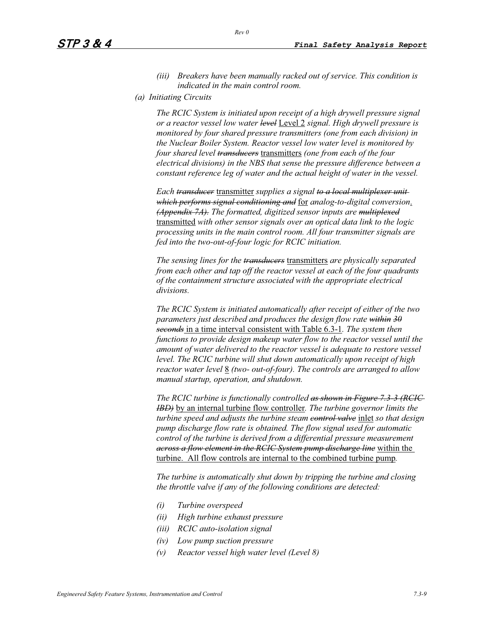- *(iii) Breakers have been manually racked out of service. This condition is indicated in the main control room.*
- *(a) Initiating Circuits*

*The RCIC System is initiated upon receipt of a high drywell pressure signal or a reactor vessel low water level* Level 2 *signal. High drywell pressure is monitored by four shared pressure transmitters (one from each division) in the Nuclear Boiler System. Reactor vessel low water level is monitored by four shared level transducers* transmitters *(one from each of the four electrical divisions) in the NBS that sense the pressure difference between a constant reference leg of water and the actual height of water in the vessel.* 

*Each transducer* transmitter *supplies a signal to a local multiplexer unit which performs signal conditioning and* for *analog-to-digital conversion*. *(Appendix 7A). The formatted, digitized sensor inputs are multiplexed* transmitted *with other sensor signals over an optical data link to the logic processing units in the main control room. All four transmitter signals are fed into the two-out-of-four logic for RCIC initiation.* 

*The sensing lines for the transducers* transmitters *are physically separated from each other and tap off the reactor vessel at each of the four quadrants of the containment structure associated with the appropriate electrical divisions.*

*The RCIC System is initiated automatically after receipt of either of the two parameters just described and produces the design flow rate within 30 seconds* in a time interval consistent with Table 6.3-1*. The system then functions to provide design makeup water flow to the reactor vessel until the amount of water delivered to the reactor vessel is adequate to restore vessel level. The RCIC turbine will shut down automatically upon receipt of high reactor water level* 8 *(two- out-of-four). The controls are arranged to allow manual startup, operation, and shutdown.* 

*The RCIC turbine is functionally controlled as shown in Figure 7.3-3 (RCIC IBD)* by an internal turbine flow controller*. The turbine governor limits the turbine speed and adjusts the turbine steam control valve* inlet *so that design pump discharge flow rate is obtained. The flow signal used for automatic control of the turbine is derived from a differential pressure measurement across a flow element in the RCIC System pump discharge line* within the turbine. All flow controls are internal to the combined turbine pump*.*

*The turbine is automatically shut down by tripping the turbine and closing the throttle valve if any of the following conditions are detected:* 

- *(i) Turbine overspeed*
- *(ii) High turbine exhaust pressure*
- *(iii) RCIC auto-isolation signal*
- *(iv) Low pump suction pressure*
- *(v) Reactor vessel high water level (Level 8)*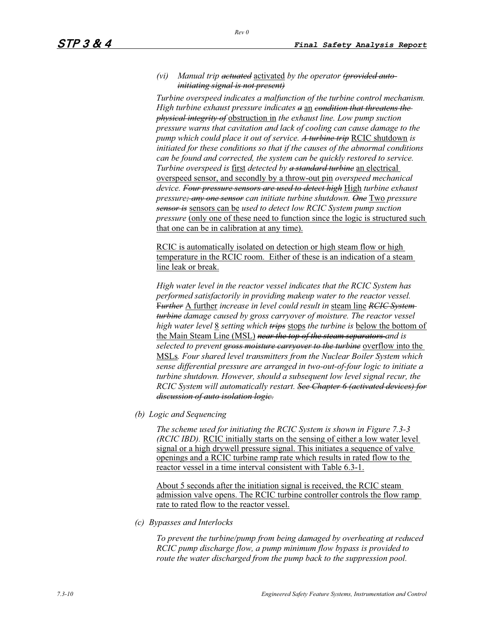### *(vi) Manual trip actuated* activated *by the operator (provided autoinitiating signal is not present)*

*Turbine overspeed indicates a malfunction of the turbine control mechanism. High turbine exhaust pressure indicates a* an *condition that threatens the physical integrity of* obstruction in *the exhaust line. Low pump suction pressure warns that cavitation and lack of cooling can cause damage to the pump which could place it out of service. A turbine trip* RCIC shutdown *is initiated for these conditions so that if the causes of the abnormal conditions can be found and corrected, the system can be quickly restored to service. Turbine overspeed is* first *detected by a standard turbine* an electrical overspeed sensor, and secondly by a throw-out pin *overspeed mechanical device. Four pressure sensors are used to detect high* High *turbine exhaust pressure; any one sensor can initiate turbine shutdown. One* Two *pressure sensor is* sensors can be *used to detect low RCIC System pump suction pressure* (only one of these need to function since the logic is structured such that one can be in calibration at any time).

RCIC is automatically isolated on detection or high steam flow or high temperature in the RCIC room. Either of these is an indication of a steam line leak or break.

*High water level in the reactor vessel indicates that the RCIC System has performed satisfactorily in providing makeup water to the reactor vessel.*  F*urther* A further *increase in level could result in* steam line *RCIC System turbine damage caused by gross carryover of moisture. The reactor vessel high water level* 8 *setting which trips* stops *the turbine is* below the bottom of the Main Steam Line (MSL) *near the top of the steam separators and is selected to prevent gross moisture carryover to the turbine* overflow into the MSLs*. Four shared level transmitters from the Nuclear Boiler System which sense differential pressure are arranged in two-out-of-four logic to initiate a turbine shutdown. However, should a subsequent low level signal recur, the RCIC System will automatically restart. See Chapter 6 (activated devices) for discussion of auto isolation logic.*

*(b) Logic and Sequencing* 

*The scheme used for initiating the RCIC System is shown in Figure 7.3-3 (RCIC IBD).* RCIC initially starts on the sensing of either a low water level signal or a high drywell pressure signal. This initiates a sequence of valve openings and a RCIC turbine ramp rate which results in rated flow to the reactor vessel in a time interval consistent with Table 6.3-1.

About 5 seconds after the initiation signal is received, the RCIC steam admission valve opens. The RCIC turbine controller controls the flow ramp rate to rated flow to the reactor vessel.

*(c) Bypasses and Interlocks* 

*To prevent the turbine/pump from being damaged by overheating at reduced RCIC pump discharge flow, a pump minimum flow bypass is provided to route the water discharged from the pump back to the suppression pool.*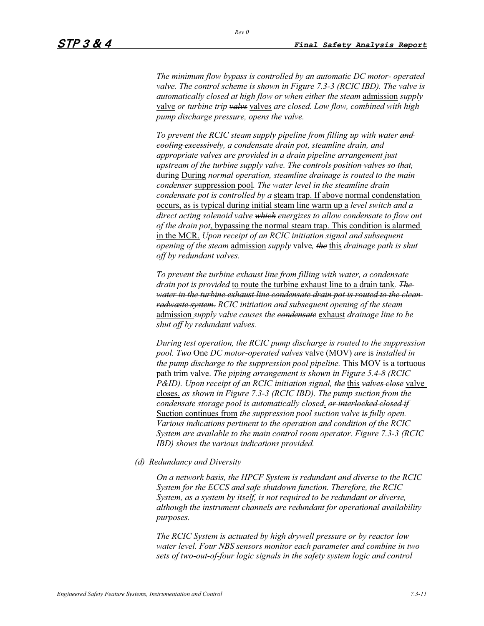*The minimum flow bypass is controlled by an automatic DC motor- operated valve. The control scheme is shown in Figure 7.3-3 (RCIC IBD). The valve is automatically closed at high flow or when either the steam* admission *supply* valve *or turbine trip valvs* valves *are closed. Low flow, combined with high pump discharge pressure, opens the valve.* 

*To prevent the RCIC steam supply pipeline from filling up with water and cooling excessively, a condensate drain pot, steamline drain, and appropriate valves are provided in a drain pipeline arrangement just upstream of the turbine supply valve. The controls position valves so that,* during During *normal operation, steamline drainage is routed to the main condenser* suppression pool*. The water level in the steamline drain condensate pot is controlled by a* steam trap. If above normal condenstation occurs, as is typical during initial steam line warm up a *level switch and a direct acting solenoid valve which energizes to allow condensate to flow out of the drain pot*, bypassing the normal steam trap. This condition is alarmed in the MCR. *Upon receipt of an RCIC initiation signal and subsequent opening of the steam* admission *supply* valve*, the* this *drainage path is shut off by redundant valves.* 

*To prevent the turbine exhaust line from filling with water, a condensate drain pot is provided* to route the turbine exhaust line to a drain tank*. The water in the turbine exhaust line condensate drain pot is routed to the clean radwaste system. RCIC initiation and subsequent opening of the steam*  admission *supply valve causes the condensate* exhaust *drainage line to be shut off by redundant valves.* 

*During test operation, the RCIC pump discharge is routed to the suppression pool. Two* One *DC motor-operated valves* valve (MOV) *are* is *installed in the pump discharge to the suppression pool pipeline.* This MOV is a tortuous path trim valve. *The piping arrangement is shown in Figure 5.4-8 (RCIC P&ID). Upon receipt of an RCIC initiation signal, the* this *valves close* valve closes. *as shown in Figure 7.3-3 (RCIC IBD). The pump suction from the condensate storage pool is automatically closed*. *or interlocked closed if* Suction continues from *the suppression pool suction valve is fully open. Various indications pertinent to the operation and condition of the RCIC System are available to the main control room operator. Figure 7.3-3 (RCIC IBD) shows the various indications provided.* 

*(d) Redundancy and Diversity* 

*On a network basis, the HPCF System is redundant and diverse to the RCIC System for the ECCS and safe shutdown function. Therefore, the RCIC System, as a system by itself, is not required to be redundant or diverse, although the instrument channels are redundant for operational availability purposes.*

*The RCIC System is actuated by high drywell pressure or by reactor low water level. Four NBS sensors monitor each parameter and combine in two sets of two-out-of-four logic signals in the safety system logic and control*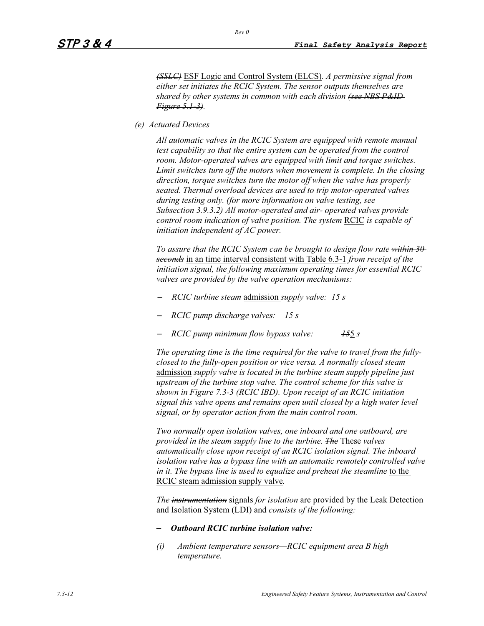*(SSLC)* ESF Logic and Control System (ELCS)*. A permissive signal from either set initiates the RCIC System. The sensor outputs themselves are shared by other systems in common with each division (see NBS P&ID Figure 5.1-3).*

*(e) Actuated Devices* 

*All automatic valves in the RCIC System are equipped with remote manual test capability so that the entire system can be operated from the control room. Motor-operated valves are equipped with limit and torque switches. Limit switches turn off the motors when movement is complete. In the closing direction, torque switches turn the motor off when the valve has properly seated. Thermal overload devices are used to trip motor-operated valves during testing only. (for more information on valve testing, see Subsection 3.9.3.2) All motor-operated and air- operated valves provide control room indication of valve position. The system* RCIC *is capable of initiation independent of AC power.* 

*To assure that the RCIC System can be brought to design flow rate within 30 seconds* in an time interval consistent with Table 6.3-1 *from receipt of the initiation signal, the following maximum operating times for essential RCIC valves are provided by the valve operation mechanisms:* 

- *RCIC turbine steam* admission *supply valve: 15 s*
- *RCIC pump discharge valves: 15 s*
- *RCIC pump minimum flow bypass valve: 15*5 *s*

*The operating time is the time required for the valve to travel from the fullyclosed to the fully-open position or vice versa. A normally closed steam*  admission *supply valve is located in the turbine steam supply pipeline just upstream of the turbine stop valve. The control scheme for this valve is shown in Figure 7.3-3 (RCIC IBD). Upon receipt of an RCIC initiation signal this valve opens and remains open until closed by a high water level signal, or by operator action from the main control room.* 

*Two normally open isolation valves, one inboard and one outboard, are provided in the steam supply line to the turbine. The* These *valves automatically close upon receipt of an RCIC isolation signal. The inboard isolation valve has a bypass line with an automatic remotely controlled valve in it. The bypass line is used to equalize and preheat the steamline* to the RCIC steam admission supply valve*.*

*The instrumentation* signals *for isolation* are provided by the Leak Detection and Isolation System (LDI) and *consists of the following:* 

#### – *Outboard RCIC turbine isolation valve:*

*(i) Ambient temperature sensors—RCIC equipment area B high temperature.*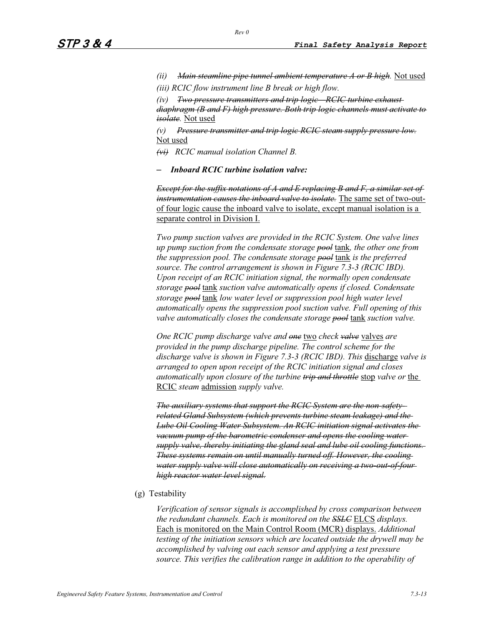*(ii) Main steamline pipe tunnel ambient temperature A or B high.* Not used

*(iii) RCIC flow instrument line B break or high flow.* 

*(iv) Two pressure transmitters and trip logic—RCIC turbine exhaust diaphragm (B and F) high pressure. Both trip logic channels must activate to isolate.* Not used

*(v) Pressure transmitter and trip logic RCIC steam supply pressure low.* Not used

*(vi) RCIC manual isolation Channel B.* 

– *Inboard RCIC turbine isolation valve:*

*Except for the suffix notations of A and E replacing B and F, a similar set of instrumentation causes the inboard valve to isolate.* The same set of two-outof four logic cause the inboard valve to isolate, except manual isolation is a separate control in Division I.

*Two pump suction valves are provided in the RCIC System. One valve lines up pump suction from the condensate storage pool* tank*, the other one from the suppression pool. The condensate storage pool* tank *is the preferred source. The control arrangement is shown in Figure 7.3-3 (RCIC IBD). Upon receipt of an RCIC initiation signal, the normally open condensate storage pool* tank *suction valve automatically opens if closed. Condensate storage pool* tank *low water level or suppression pool high water level automatically opens the suppression pool suction valve. Full opening of this valve automatically closes the condensate storage pool* tank *suction valve.* 

*One RCIC pump discharge valve and one* two *check valve* valves *are provided in the pump discharge pipeline. The control scheme for the discharge valve is shown in Figure 7.3-3 (RCIC IBD). This* discharge *valve is arranged to open upon receipt of the RCIC initiation signal and closes automatically upon closure of the turbine trip and throttle* stop *valve or* the RCIC *steam* admission *supply valve.* 

*The auxiliary systems that support the RCIC System are the non-safetyrelated Gland Subsystem (which prevents turbine steam leakage) and the Lube Oil Cooling Water Subsystem. An RCIC initiation signal activates the vacuum pump of the barometric condenser and opens the cooling watersupply valve, thereby initiating the gland seal and lube oil cooling functions. These systems remain on until manually turned off. However, the cooling water supply valve will close automatically on receiving a two-out-of-four high reactor water level signal.*

(g) Testability

*Verification of sensor signals is accomplished by cross comparison between the redundant channels. Each is monitored on the SSLC* ELCS *displays.*  Each is monitored on the Main Control Room (MCR) displays. *Additional testing of the initiation sensors which are located outside the drywell may be accomplished by valving out each sensor and applying a test pressure source. This verifies the calibration range in addition to the operability of*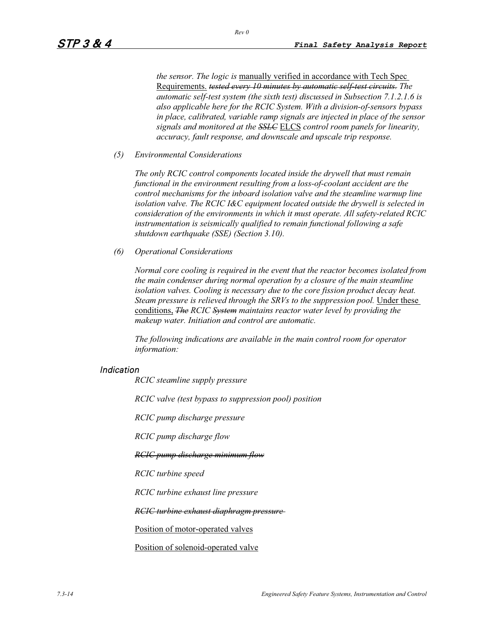*the sensor. The logic is* manually verified in accordance with Tech Spec Requirements. *tested every 10 minutes by automatic self-test circuits. The automatic self-test system (the sixth test) discussed in Subsection 7.1.2.1.6 is also applicable here for the RCIC System. With a division-of-sensors bypass in place, calibrated, variable ramp signals are injected in place of the sensor signals and monitored at the SSLC* ELCS *control room panels for linearity, accuracy, fault response, and downscale and upscale trip response.* 

*(5) Environmental Considerations* 

*The only RCIC control components located inside the drywell that must remain functional in the environment resulting from a loss-of-coolant accident are the control mechanisms for the inboard isolation valve and the steamline warmup line isolation valve. The RCIC I&C equipment located outside the drywell is selected in consideration of the environments in which it must operate. All safety-related RCIC instrumentation is seismically qualified to remain functional following a safe shutdown earthquake (SSE) (Section 3.10).* 

*(6) Operational Considerations* 

*Normal core cooling is required in the event that the reactor becomes isolated from the main condenser during normal operation by a closure of the main steamline isolation valves. Cooling is necessary due to the core fission product decay heat. Steam pressure is relieved through the SRVs to the suppression pool.* Under these conditions, *The RCIC System maintains reactor water level by providing the makeup water. Initiation and control are automatic.* 

*The following indications are available in the main control room for operator information:*

### Indication

*RCIC steamline supply pressure* 

*RCIC valve (test bypass to suppression pool) position* 

*RCIC pump discharge pressure* 

*RCIC pump discharge flow* 

*RCIC pump discharge minimum flow*

*RCIC turbine speed* 

*RCIC turbine exhaust line pressure* 

*RCIC turbine exhaust diaphragm pressure*

Position of motor-operated valves

Position of solenoid-operated valve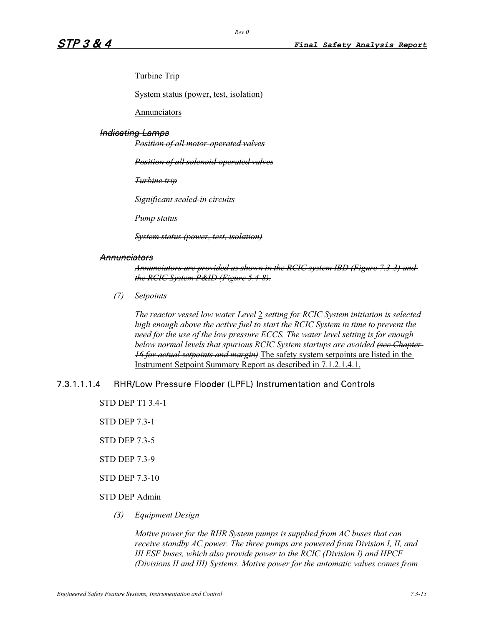Turbine Trip

System status (power, test, isolation)

**Annunciators** 

#### Indicating Lamps

*Position of all motor-operated valves*

*Position of all solenoid-operated valves*

*Turbine trip*

*Significant sealed-in circuits*

*Pump status*

*System status (power, test, isolation)*

### **Annunciators**

*Annunciators are provided as shown in the RCIC system IBD (Figure 7.3-3) and the RCIC System P&ID (Figure 5.4-8).*

*(7) Setpoints*

*The reactor vessel low water Level* 2 *setting for RCIC System initiation is selected high enough above the active fuel to start the RCIC System in time to prevent the need for the use of the low pressure ECCS. The water level setting is far enough below normal levels that spurious RCIC System startups are avoided (see Chapter 16 for actual setpoints and margin).*The safety system setpoints are listed in the Instrument Setpoint Summary Report as described in 7.1.2.1.4.1.

## 7.3.1.1.1.4 RHR/Low Pressure Flooder (LPFL) Instrumentation and Controls

- STD DEP T1 3.4-1
- STD DEP 7.3-1
- STD DEP 7.3-5
- STD DEP 7.3-9
- STD DEP 7.3-10
- STD DEP Admin
	- *(3) Equipment Design*

*Motive power for the RHR System pumps is supplied from AC buses that can receive standby AC power. The three pumps are powered from Division I, II, and III ESF buses, which also provide power to the RCIC (Division I) and HPCF (Divisions II and III) Systems. Motive power for the automatic valves comes from*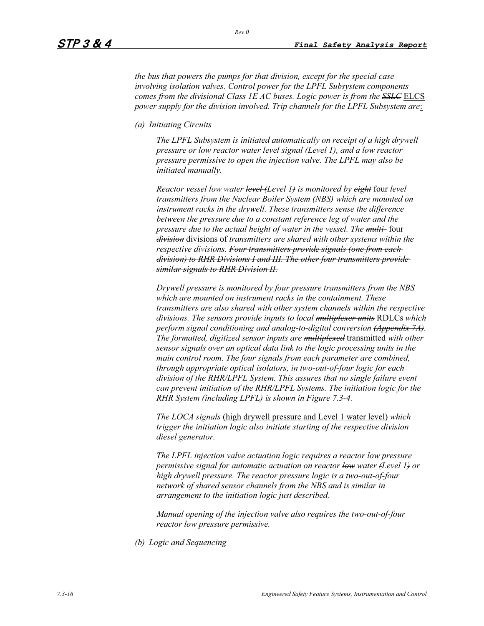*the bus that powers the pumps for that division, except for the special case involving isolation valves. Control power for the LPFL Subsystem components comes from the divisional Class 1E AC buses. Logic power is from the SSLC* ELCS *power supply for the division involved. Trip channels for the LPFL Subsystem are*:

*(a) Initiating Circuits* 

*The LPFL Subsystem is initiated automatically on receipt of a high drywell pressure or low reactor water level signal (Level 1), and a low reactor pressure permissive to open the injection valve. The LPFL may also be initiated manually.* 

*Reactor vessel low water level (Level 1) is monitored by eight* four *level transmitters from the Nuclear Boiler System (NBS) which are mounted on instrument racks in the drywell. These transmitters sense the difference between the pressure due to a constant reference leg of water and the pressure due to the actual height of water in the vessel. The multi-* four *division* divisions of *transmitters are shared with other systems within the respective divisions. Four transmitters provide signals (one from each division) to RHR Divisions I and III. The other four transmitters provide similar signals to RHR Division II.*

*Drywell pressure is monitored by four pressure transmitters from the NBS which are mounted on instrument racks in the containment. These transmitters are also shared with other system channels within the respective divisions. The sensors provide inputs to local multiplexer units* RDLCs *which perform signal conditioning and analog-to-digital conversion (Appendix 7A). The formatted, digitized sensor inputs are multiplexed* transmitted *with other sensor signals over an optical data link to the logic processing units in the main control room. The four signals from each parameter are combined, through appropriate optical isolators, in two-out-of-four logic for each division of the RHR/LPFL System. This assures that no single failure event can prevent initiation of the RHR/LPFL Systems. The initiation logic for the RHR System (including LPFL) is shown in Figure 7.3-4.* 

*The LOCA signals* (high drywell pressure and Level 1 water level) *which trigger the initiation logic also initiate starting of the respective division diesel generator.* 

*The LPFL injection valve actuation logic requires a reactor low pressure permissive signal for automatic actuation on reactor low water (Level 1) or high drywell pressure. The reactor pressure logic is a two-out-of-four network of shared sensor channels from the NBS and is similar in arrangement to the initiation logic just described.* 

*Manual opening of the injection valve also requires the two-out-of-four reactor low pressure permissive.* 

*(b) Logic and Sequencing*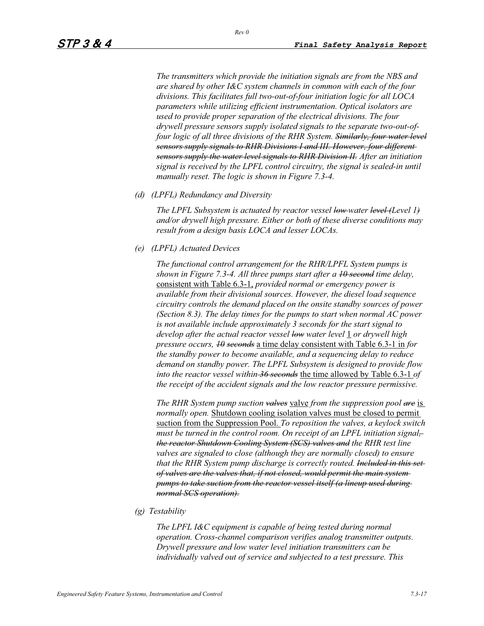*The transmitters which provide the initiation signals are from the NBS and are shared by other I&C system channels in common with each of the four divisions. This facilitates full two-out-of-four initiation logic for all LOCA parameters while utilizing efficient instrumentation. Optical isolators are used to provide proper separation of the electrical divisions. The four drywell pressure sensors supply isolated signals to the separate two-out-offour logic of all three divisions of the RHR System. Similarly, four water level sensors supply signals to RHR Divisions I and III. However, four different sensors supply the water level signals to RHR Division II. After an initiation signal is received by the LPFL control circuitry, the signal is sealed-in until manually reset. The logic is shown in Figure 7.3-4.* 

*(d) (LPFL) Redundancy and Diversity* 

*The LPFL Subsystem is actuated by reactor vessel low water level (Level 1) and/or drywell high pressure. Either or both of these diverse conditions may result from a design basis LOCA and lesser LOCAs.* 

*(e) (LPFL) Actuated Devices* 

*The functional control arrangement for the RHR/LPFL System pumps is shown in Figure 7.3-4. All three pumps start after a 10 second time delay,*  consistent with Table 6.3-1, *provided normal or emergency power is available from their divisional sources. However, the diesel load sequence circuitry controls the demand placed on the onsite standby sources of power (Section 8.3). The delay times for the pumps to start when normal AC power is not available include approximately 3 seconds for the start signal to develop after the actual reactor vessel low water level* 1 *or drywell high pressure occurs, 10 seconds* a time delay consistent with Table 6.3-1 in *for the standby power to become available, and a sequencing delay to reduce demand on standby power. The LPFL Subsystem is designed to provide flow into the reactor vessel within 36 seconds* the time allowed by Table 6.3-1 *of the receipt of the accident signals and the low reactor pressure permissive.* 

*The RHR System pump suction valves* valve *from the suppression pool are* is *normally open.* Shutdown cooling isolation valves must be closed to permit suction from the Suppression Pool. *To reposition the valves, a keylock switch must be turned in the control room. On receipt of an LPFL initiation signal the reactor Shutdown Cooling System (SCS) valves and the RHR test line valves are signaled to close (although they are normally closed) to ensure that the RHR System pump discharge is correctly routed. Included in this set of valves are the valves that, if not closed, would permit the main system pumps to take suction from the reactor vessel itself (a lineup used during normal SCS operation).*

*(g) Testability*

*The LPFL I&C equipment is capable of being tested during normal operation. Cross-channel comparison verifies analog transmitter outputs. Drywell pressure and low water level initiation transmitters can be individually valved out of service and subjected to a test pressure. This*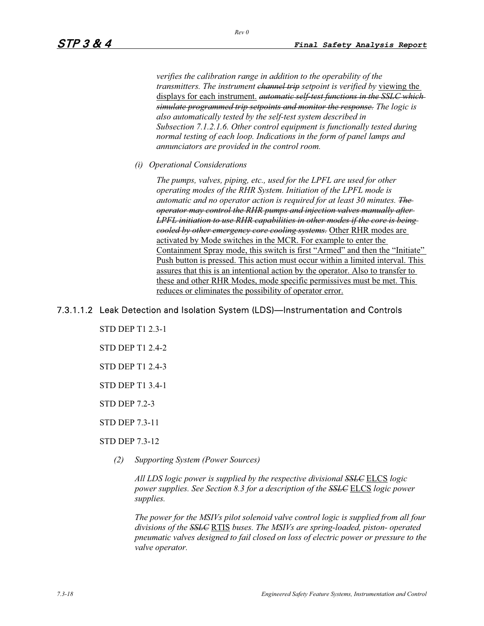*verifies the calibration range in addition to the operability of the transmitters. The instrument <del>channel trip</del> setpoint is verified by viewing the* displays for each instrument. *automatic self-test functions in the SSLC which simulate programmed trip setpoints and monitor the response. The logic is also automatically tested by the self-test system described in Subsection 7.1.2.1.6. Other control equipment is functionally tested during normal testing of each loop. Indications in the form of panel lamps and annunciators are provided in the control room.* 

*(i) Operational Considerations* 

*The pumps, valves, piping, etc., used for the LPFL are used for other operating modes of the RHR System. Initiation of the LPFL mode is automatic and no operator action is required for at least 30 minutes. The operator may control the RHR pumps and injection valves manually after LPFL initiation to use RHR capabilities in other modes if the core is being cooled by other emergency core cooling systems.* Other RHR modes are activated by Mode switches in the MCR. For example to enter the Containment Spray mode, this switch is first "Armed" and then the "Initiate" Push button is pressed. This action must occur within a limited interval. This assures that this is an intentional action by the operator. Also to transfer to these and other RHR Modes, mode specific permissives must be met. This reduces or eliminates the possibility of operator error.

## 7.3.1.1.2 Leak Detection and Isolation System (LDS)—Instrumentation and Controls

- STD DEP T1 2.3-1
- STD DEP T1 2.4-2
- STD DEP T1 2.4-3
- STD DEP T1 3.4-1
- STD DEP 7.2-3

STD DEP 7.3-11

### STD DEP 7.3-12

*(2) Supporting System (Power Sources)* 

*All LDS logic power is supplied by the respective divisional SSLC* ELCS *logic power supplies. See Section 8.3 for a description of the SSLC* ELCS *logic power supplies.*

*The power for the MSIVs pilot solenoid valve control logic is supplied from all four divisions of the SSLC* RTIS *buses. The MSIVs are spring-loaded, piston- operated pneumatic valves designed to fail closed on loss of electric power or pressure to the valve operator.*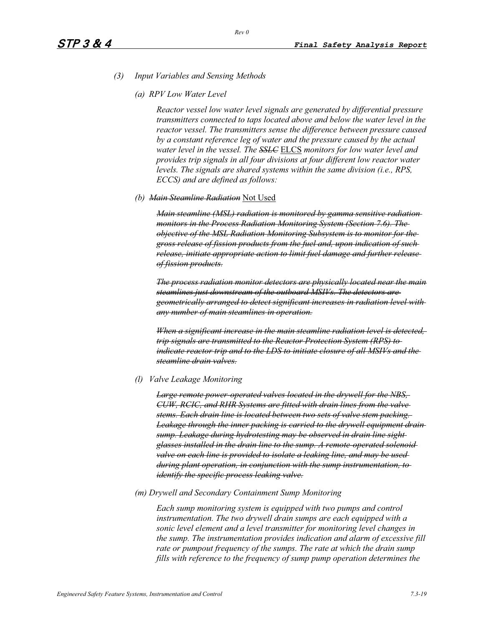- *(3) Input Variables and Sensing Methods* 
	- *(a) RPV Low Water Level*

*Reactor vessel low water level signals are generated by differential pressure transmitters connected to taps located above and below the water level in the reactor vessel. The transmitters sense the difference between pressure caused by a constant reference leg of water and the pressure caused by the actual water level in the vessel. The SSLC* ELCS *monitors for low water level and provides trip signals in all four divisions at four different low reactor water levels. The signals are shared systems within the same division (i.e., RPS, ECCS) and are defined as follows:* 

*(b) Main Steamline Radiation* Not Used

*Main steamline (MSL) radiation is monitored by gamma sensitive radiation monitors in the Process Radiation Monitoring System (Section 7.6). The objective of the MSL Radiation Monitoring Subsystem is to monitor for the gross release of fission products from the fuel and, upon indication of such release, initiate appropriate action to limit fuel damage and further release of fission products.*

*The process radiation monitor detectors are physically located near the main steamlines just downstream of the outboard MSIVs. The detectors are geometrically arranged to detect significant increases in radiation level with any number of main steamlines in operation.*

*When a significant increase in the main steamline radiation level is detected, trip signals are transmitted to the Reactor Protection System (RPS) to indicate reactor trip and to the LDS to initiate closure of all MSIVs and the steamline drain valves.*

*(l) Valve Leakage Monitoring* 

*Large remote power-operated valves located in the drywell for the NBS, CUW, RCIC, and RHR Systems are fitted with drain lines from the valve stems. Each drain line is located between two sets of valve stem packing.*  Leakage through the inner packing is carried to the drywell equipment drain *sump. Leakage during hydrotesting may be observed in drain line sight glasses installed in the drain line to the sump. A remote-operated solenoid valve on each line is provided to isolate a leaking line, and may be used during plant operation, in conjunction with the sump instrumentation, to identify the specific process leaking valve.*

*(m) Drywell and Secondary Containment Sump Monitoring* 

*Each sump monitoring system is equipped with two pumps and control instrumentation. The two drywell drain sumps are each equipped with a sonic level element and a level transmitter for monitoring level changes in the sump. The instrumentation provides indication and alarm of excessive fill rate or pumpout frequency of the sumps. The rate at which the drain sump fills with reference to the frequency of sump pump operation determines the*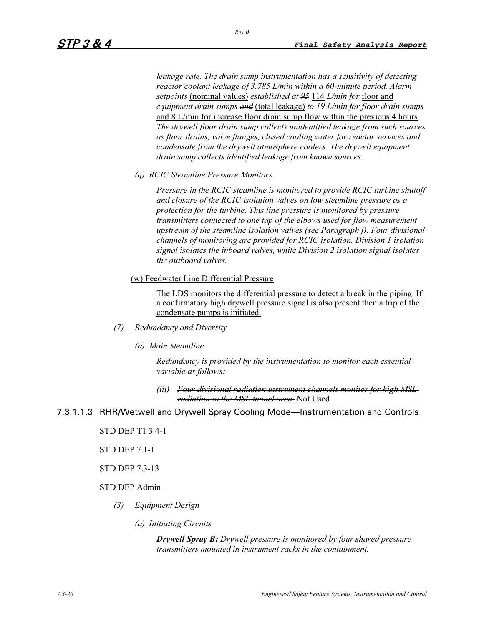*leakage rate. The drain sump instrumentation has a sensitivity of detecting reactor coolant leakage of 3.785 L/min within a 60-minute period. Alarm setpoints* (nominal values) *established at 95* 114 *L/min for* floor and *equipment drain sumps and* (total leakage) *to 19 L/min for floor drain sumps* and 8 L/min for increase floor drain sump flow within the previous 4 hours*. The drywell floor drain sump collects unidentified leakage from such sources as floor drains, valve flanges, closed cooling water for reactor services and condensate from the drywell atmosphere coolers. The drywell equipment drain sump collects identified leakage from known sources.* 

*(q) RCIC Steamline Pressure Monitors*

*Pressure in the RCIC steamline is monitored to provide RCIC turbine shutoff and closure of the RCIC isolation valves on low steamline pressure as a protection for the turbine. This line pressure is monitored by pressure transmitters connected to one tap of the elbows used for flow measurement upstream of the steamline isolation valves (see Paragraph j). Four divisional channels of monitoring are provided for RCIC isolation. Division 1 isolation signal isolates the inboard valves, while Division 2 isolation signal isolates the outboard valves.*

(w) Feedwater Line Differential Pressure

The LDS monitors the differential pressure to detect a break in the piping. If a confirmatory high drywell pressure signal is also present then a trip of the condensate pumps is initiated.

- *(7) Redundancy and Diversity* 
	- *(a) Main Steamline*

*Redundancy is provided by the instrumentation to monitor each essential variable as follows:* 

*(iii) Four divisional radiation instrument channels monitor for high MSL radiation in the MSL tunnel area.* Not Used

## 7.3.1.1.3 RHR/Wetwell and Drywell Spray Cooling Mode—Instrumentation and Controls

STD DEP T1 3.4-1

STD DEP 7.1-1

STD DEP 7.3-13

### STD DEP Admin

- *(3) Equipment Design* 
	- *(a) Initiating Circuits*

*Drywell Spray B: Drywell pressure is monitored by four shared pressure transmitters mounted in instrument racks in the containment.*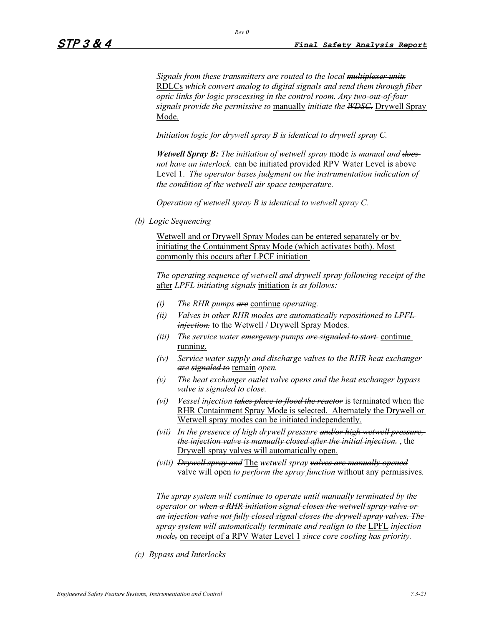*Signals from these transmitters are routed to the local multiplexer units* RDLCs *which convert analog to digital signals and send them through fiber optic links for logic processing in the control room. Any two-out-of-four signals provide the permissive to* manually *initiate the WDSC.* Drywell Spray Mode.

*Initiation logic for drywell spray B is identical to drywell spray C.* 

*Wetwell Spray B: The initiation of wetwell spray* mode *is manual and does not have an interlock.* can be initiated provided RPV Water Level is above Level 1. *The operator bases judgment on the instrumentation indication of the condition of the wetwell air space temperature.* 

*Operation of wetwell spray B is identical to wetwell spray C.* 

*(b) Logic Sequencing* 

Wetwell and or Drywell Spray Modes can be entered separately or by initiating the Containment Spray Mode (which activates both). Most commonly this occurs after LPCF initiation

*The operating sequence of wetwell and drywell spray following receipt of the* after *LPFL initiating signals* initiation *is as follows:* 

- *(i) The RHR pumps are* continue *operating.*
- *(ii) Valves in other RHR modes are automatically repositioned to LPFL injection*, to the Wetwell / Drywell Spray Modes.
- *(iii) The service water emergency pumps are signaled to start.* continue running.
- *(iv) Service water supply and discharge valves to the RHR heat exchanger are signaled to* remain *open.*
- *(v) The heat exchanger outlet valve opens and the heat exchanger bypass valve is signaled to close.*
- *(vi) Vessel injection takes place to flood the reactor* is terminated when the RHR Containment Spray Mode is selected. Alternately the Drywell or Wetwell spray modes can be initiated independently.
- *(vii) In the presence of high drywell pressure and/or high wetwell pressure, the injection valve is manually closed after the initial injection.* , the Drywell spray valves will automatically open.
- *(viii) Drywell spray and* The *wetwell spray valves are manually opened* valve will open *to perform the spray function* without any permissives*.*

*The spray system will continue to operate until manually terminated by the operator or when a RHR initiation signal closes the wetwell spray valve or an injection valve not fully closed signal closes the drywell spray valves. The spray system will automatically terminate and realign to the* LPFL *injection mode,* on receipt of a RPV Water Level 1 *since core cooling has priority.* 

*(c) Bypass and Interlocks*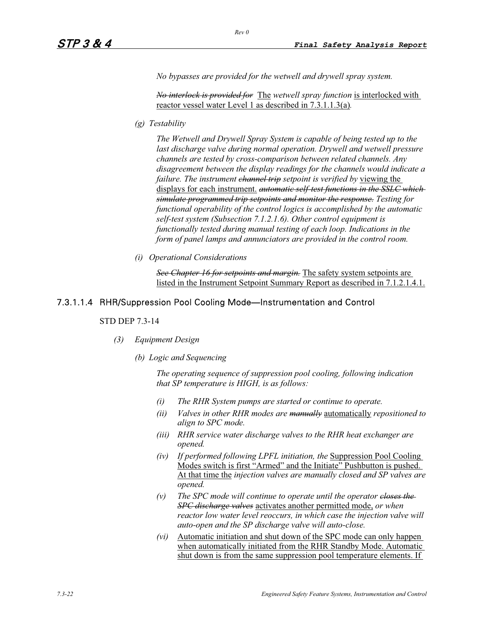*No bypasses are provided for the wetwell and drywell spray system.* 

*No interlock is provided for* The *wetwell spray function* is interlocked with reactor vessel water Level 1 as described in 7.3.1.1.3(a)*.*

*(g) Testability*

*The Wetwell and Drywell Spray System is capable of being tested up to the*  last discharge valve during normal operation. Drywell and wetwell pressure *channels are tested by cross-comparison between related channels. Any disagreement between the display readings for the channels would indicate a failure. The instrument <del>channel trip</del> setpoint is verified by viewing the* displays for each instrument. *automatic self-test functions in the SSLC which simulate programmed trip setpoints and monitor the response. Testing for functional operability of the control logics is accomplished by the automatic self-test system (Subsection 7.1.2.1.6). Other control equipment is functionally tested during manual testing of each loop. Indications in the form of panel lamps and annunciators are provided in the control room.* 

*(i) Operational Considerations* 

*See Chapter 16 for setpoints and margin.* The safety system setpoints are listed in the Instrument Setpoint Summary Report as described in 7.1.2.1.4.1.

### 7.3.1.1.4 RHR/Suppression Pool Cooling Mode—Instrumentation and Control

#### STD DEP 7.3-14

- *(3) Equipment Design* 
	- *(b) Logic and Sequencing*

*The operating sequence of suppression pool cooling, following indication that SP temperature is HIGH, is as follows:* 

- *(i) The RHR System pumps are started or continue to operate.*
- *(ii) Valves in other RHR modes are manually* automatically *repositioned to align to SPC mode.*
- *(iii) RHR service water discharge valves to the RHR heat exchanger are opened.*
- *(iv) If performed following LPFL initiation, the* Suppression Pool Cooling Modes switch is first "Armed" and the Initiate" Pushbutton is pushed. At that time the *injection valves are manually closed and SP valves are opened.*
- *(v) The SPC mode will continue to operate until the operator closes the SPC discharge valves* activates another permitted mode, *or when reactor low water level reoccurs, in which case the injection valve will auto-open and the SP discharge valve will auto-close.*
- *(vi)* Automatic initiation and shut down of the SPC mode can only happen when automatically initiated from the RHR Standby Mode. Automatic shut down is from the same suppression pool temperature elements. If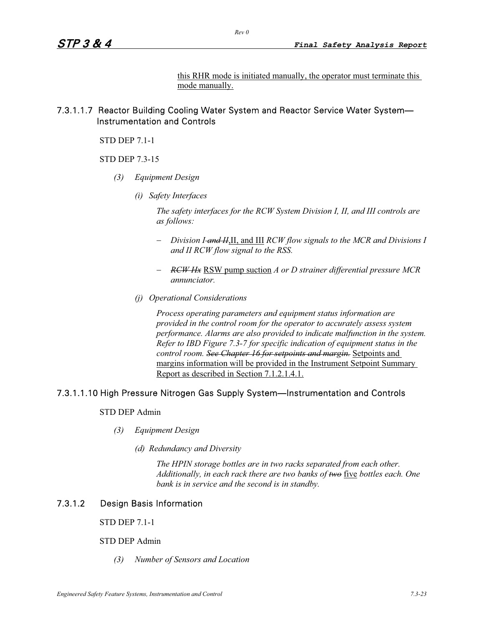this RHR mode is initiated manually, the operator must terminate this mode manually.

## 7.3.1.1.7 Reactor Building Cooling Water System and Reactor Service Water System— Instrumentation and Controls

*Rev 0* 

STD DEP 7.1-1

STD DEP 7.3-15

- *(3) Equipment Design* 
	- *(i) Safety Interfaces*

*The safety interfaces for the RCW System Division I, II, and III controls are as follows:* 

- - *Division I and II*,II, and III *RCW flow signals to the MCR and Divisions I and II RCW flow signal to the RSS.*
- - *RCW Hx* RSW pump suction *A or D strainer differential pressure MCR annunciator.*
- *(j) Operational Considerations*

*Process operating parameters and equipment status information are provided in the control room for the operator to accurately assess system performance. Alarms are also provided to indicate malfunction in the system. Refer to IBD Figure 7.3-7 for specific indication of equipment status in the control room. See Chapter 16 for setpoints and margin.* Setpoints and margins information will be provided in the Instrument Setpoint Summary Report as described in Section 7.1.2.1.4.1.

### 7.3.1.1.10 High Pressure Nitrogen Gas Supply System—Instrumentation and Controls

#### STD DEP Admin

- *(3) Equipment Design* 
	- *(d) Redundancy and Diversity*

*The HPIN storage bottles are in two racks separated from each other. Additionally, in each rack there are two banks of two* five *bottles each. One bank is in service and the second is in standby.* 

## 7.3.1.2 Design Basis Information

STD DEP 7.1-1

#### STD DEP Admin

*(3) Number of Sensors and Location*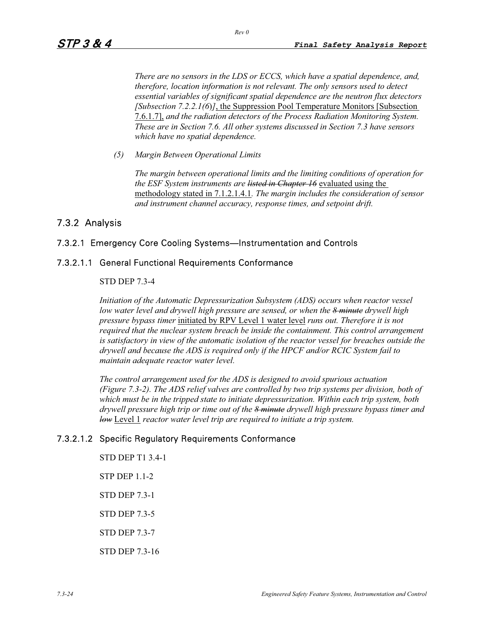*There are no sensors in the LDS or ECCS, which have a spatial dependence, and, therefore, location information is not relevant. The only sensors used to detect essential variables of significant spatial dependence are the neutron flux detectors [Subsection 7.2.2.1(6*)*]*, the Suppression Pool Temperature Monitors [Subsection 7.6.1.7], *and the radiation detectors of the Process Radiation Monitoring System. These are in Section 7.6. All other systems discussed in Section 7.3 have sensors which have no spatial dependence.* 

*(5) Margin Between Operational Limits* 

*The margin between operational limits and the limiting conditions of operation for the ESF System instruments are listed in Chapter 16* evaluated using the methodology stated in 7.1.2.1.4.1*. The margin includes the consideration of sensor and instrument channel accuracy, response times, and setpoint drift.* 

## 7.3.2 Analysis

### 7.3.2.1 Emergency Core Cooling Systems—Instrumentation and Controls

#### 7.3.2.1.1 General Functional Requirements Conformance

#### STD DEP 7.3-4

*Initiation of the Automatic Depressurization Subsystem (ADS) occurs when reactor vessel low water level and drywell high pressure are sensed, or when the 8 minute drywell high pressure bypass timer* initiated by RPV Level 1 water level *runs out. Therefore it is not required that the nuclear system breach be inside the containment. This control arrangement is satisfactory in view of the automatic isolation of the reactor vessel for breaches outside the drywell and because the ADS is required only if the HPCF and/or RCIC System fail to maintain adequate reactor water level.* 

*The control arrangement used for the ADS is designed to avoid spurious actuation (Figure 7.3-2). The ADS relief valves are controlled by two trip systems per division, both of which must be in the tripped state to initiate depressurization. Within each trip system, both drywell pressure high trip or time out of the 8 minute drywell high pressure bypass timer and low* Level 1 *reactor water level trip are required to initiate a trip system.* 

### 7.3.2.1.2 Specific Regulatory Requirements Conformance

STD DEP T1 3.4-1 STP DEP 1.1-2 STD DEP 7.3-1 STD DEP 7.3-5 STD DEP 7.3-7 STD DEP 7.3-16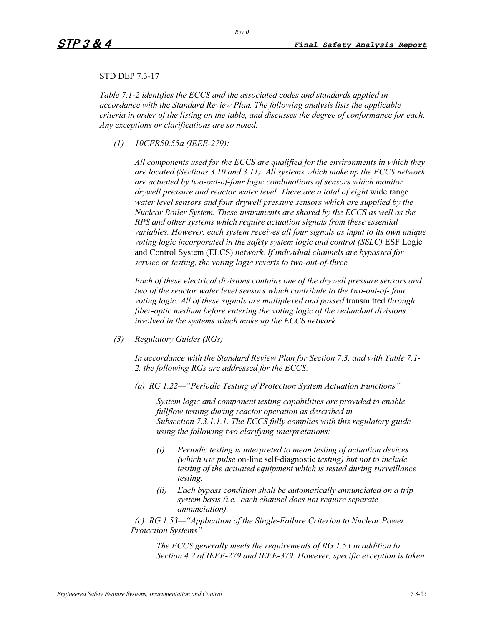### STD DEP 7.3-17

*Table 7.1-2 identifies the ECCS and the associated codes and standards applied in accordance with the Standard Review Plan. The following analysis lists the applicable criteria in order of the listing on the table, and discusses the degree of conformance for each. Any exceptions or clarifications are so noted.* 

*(1) 10CFR50.55a (IEEE-279):* 

*All components used for the ECCS are qualified for the environments in which they are located (Sections 3.10 and 3.11). All systems which make up the ECCS network are actuated by two-out-of-four logic combinations of sensors which monitor drywell pressure and reactor water level. There are a total of eight* wide range *water level sensors and four drywell pressure sensors which are supplied by the Nuclear Boiler System. These instruments are shared by the ECCS as well as the RPS and other systems which require actuation signals from these essential variables. However, each system receives all four signals as input to its own unique voting logic incorporated in the safety system logic and control (SSLC)* ESF Logic and Control System (ELCS) *network. If individual channels are bypassed for service or testing, the voting logic reverts to two-out-of-three.* 

*Each of these electrical divisions contains one of the drywell pressure sensors and two of the reactor water level sensors which contribute to the two-out-of- four voting logic. All of these signals are multiplexed and passed* transmitted *through fiber-optic medium before entering the voting logic of the redundant divisions involved in the systems which make up the ECCS network.*

*(3) Regulatory Guides (RGs)* 

*In accordance with the Standard Review Plan for Section 7.3, and with Table 7.1- 2, the following RGs are addressed for the ECCS:* 

*(a) RG 1.22—"Periodic Testing of Protection System Actuation Functions"* 

*System logic and component testing capabilities are provided to enable fullflow testing during reactor operation as described in Subsection 7.3.1.1.1. The ECCS fully complies with this regulatory guide using the following two clarifying interpretations:* 

- *(i) Periodic testing is interpreted to mean testing of actuation devices (which use pulse* on-line self-diagnostic *testing) but not to include testing of the actuated equipment which is tested during surveillance testing.*
- *(ii) Each bypass condition shall be automatically annunciated on a trip system basis (i.e., each channel does not require separate annunciation).*

*(c) RG 1.53—"Application of the Single-Failure Criterion to Nuclear Power Protection Systems"* 

*The ECCS generally meets the requirements of RG 1.53 in addition to Section 4.2 of IEEE-279 and IEEE-379. However, specific exception is taken*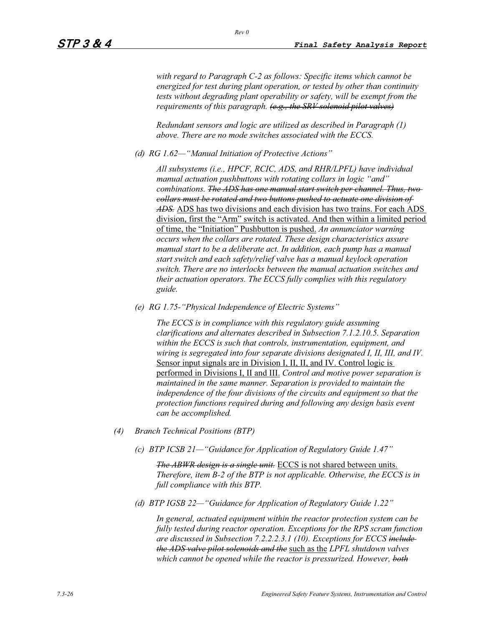*with regard to Paragraph C-2 as follows: Specific items which cannot be energized for test during plant operation, or tested by other than continuity tests without degrading plant operability or safety, will be exempt from the requirements of this paragraph. (e.g., the SRV solenoid pilot valves)*

*Redundant sensors and logic are utilized as described in Paragraph (1) above. There are no mode switches associated with the ECCS.* 

*(d) RG 1.62—"Manual Initiation of Protective Actions"* 

*All subsystems (i.e., HPCF, RCIC, ADS, and RHR/LPFL) have individual manual actuation pushbuttons with rotating collars in logic "and" combinations. The ADS has one manual start switch per channel. Thus, two collars must be rotated and two buttons pushed to actuate one division of ADS.* ADS has two divisions and each division has two trains. For each ADS division, first the "Arm" switch is activated. And then within a limited period of time, the "Initiation" Pushbutton is pushed. *An annunciator warning occurs when the collars are rotated. These design characteristics assure manual start to be a deliberate act. In addition, each pump has a manual start switch and each safety/relief valve has a manual keylock operation switch. There are no interlocks between the manual actuation switches and their actuation operators. The ECCS fully complies with this regulatory guide.*

*(e) RG 1.75-"Physical Independence of Electric Systems"* 

*The ECCS is in compliance with this regulatory guide assuming clarifications and alternates described in Subsection 7.1.2.10.5. Separation within the ECCS is such that controls, instrumentation, equipment, and wiring is segregated into four separate divisions designated I, II, III, and IV.*  Sensor input signals are in Division I, II, II, and IV. Control logic is performed in Divisions I, II and III. *Control and motive power separation is maintained in the same manner. Separation is provided to maintain the independence of the four divisions of the circuits and equipment so that the protection functions required during and following any design basis event can be accomplished.* 

- *(4) Branch Technical Positions (BTP)* 
	- *(c) BTP ICSB 21—"Guidance for Application of Regulatory Guide 1.47"*

*The ABWR design is a single unit.* ECCS is not shared between units. *Therefore, item B-2 of the BTP is not applicable. Otherwise, the ECCS is in full compliance with this BTP.* 

*(d) BTP IGSB 22—"Guidance for Application of Regulatory Guide 1.22"* 

*In general, actuated equipment within the reactor protection system can be fully tested during reactor operation. Exceptions for the RPS scram function are discussed in Subsection 7.2.2.2.3.1 (10). Exceptions for ECCS include the ADS valve pilot solenoids and the* such as the *LPFL shutdown valves which cannot be opened while the reactor is pressurized. However, both*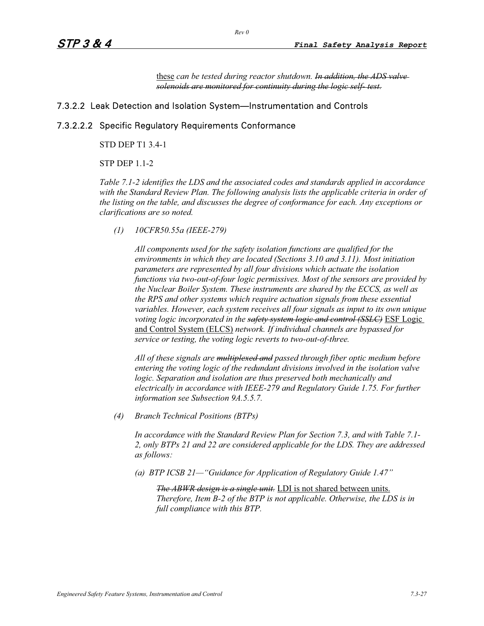these *can be tested during reactor shutdown. In addition, the ADS valve solenoids are monitored for continuity during the logic self- test.*

### 7.3.2.2 Leak Detection and Isolation System—Instrumentation and Controls

### 7.3.2.2.2 Specific Regulatory Requirements Conformance

STD DEP T1 3.4-1

STP DEP 1.1-2

*Table 7.1-2 identifies the LDS and the associated codes and standards applied in accordance with the Standard Review Plan. The following analysis lists the applicable criteria in order of the listing on the table, and discusses the degree of conformance for each. Any exceptions or clarifications are so noted.* 

*(1) 10CFR50.55a (IEEE-279)* 

*All components used for the safety isolation functions are qualified for the environments in which they are located (Sections 3.10 and 3.11). Most initiation parameters are represented by all four divisions which actuate the isolation functions via two-out-of-four logic permissives. Most of the sensors are provided by the Nuclear Boiler System. These instruments are shared by the ECCS, as well as the RPS and other systems which require actuation signals from these essential variables. However, each system receives all four signals as input to its own unique voting logic incorporated in the safety system logic and control (SSLC)* ESF Logic and Control System (ELCS) *network. If individual channels are bypassed for service or testing, the voting logic reverts to two-out-of-three.* 

*All of these signals are multiplexed and passed through fiber optic medium before entering the voting logic of the redundant divisions involved in the isolation valve logic. Separation and isolation are thus preserved both mechanically and electrically in accordance with IEEE-279 and Regulatory Guide 1.75. For further information see Subsection 9A.5.5.7.* 

*(4) Branch Technical Positions (BTPs)* 

*In accordance with the Standard Review Plan for Section 7.3, and with Table 7.1- 2, only BTPs 21 and 22 are considered applicable for the LDS. They are addressed as follows:* 

*(a) BTP ICSB 21—"Guidance for Application of Regulatory Guide 1.47"* 

*The ABWR design is a single unit.* LDI is not shared between units. *Therefore, Item B-2 of the BTP is not applicable. Otherwise, the LDS is in full compliance with this BTP.*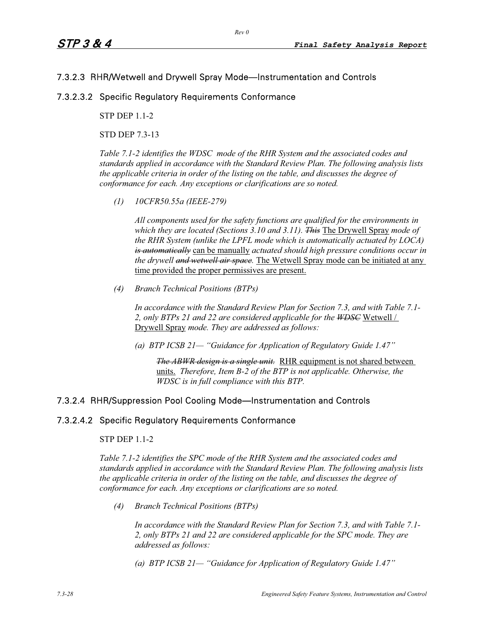## 7.3.2.3 RHR/Wetwell and Drywell Spray Mode—Instrumentation and Controls

## 7.3.2.3.2 Specific Regulatory Requirements Conformance

STP DEP 1.1-2

STD DEP 7.3-13

*Table 7.1-2 identifies the WDSC mode of the RHR System and the associated codes and standards applied in accordance with the Standard Review Plan. The following analysis lists the applicable criteria in order of the listing on the table, and discusses the degree of conformance for each. Any exceptions or clarifications are so noted.* 

*(1) 10CFR50.55a (IEEE-279)* 

*All components used for the safety functions are qualified for the environments in which they are located (Sections 3.10 and 3.11). This* The Drywell Spray *mode of the RHR System (unlike the LPFL mode which is automatically actuated by LOCA) is automatically* can be manually *actuated should high pressure conditions occur in the drywell and wetwell air space.* The Wetwell Spray mode can be initiated at any time provided the proper permissives are present.

*(4) Branch Technical Positions (BTPs)* 

*In accordance with the Standard Review Plan for Section 7.3, and with Table 7.1-* 2, only BTPs 21 and 22 are considered applicable for the W<del>DSC</del> Wetwell / Drywell Spray *mode. They are addressed as follows:* 

*(a) BTP ICSB 21— "Guidance for Application of Regulatory Guide 1.47"* 

*The ABWR design is a single unit.* RHR equipment is not shared between units. *Therefore, Item B-2 of the BTP is not applicable. Otherwise, the WDSC is in full compliance with this BTP.* 

## 7.3.2.4 RHR/Suppression Pool Cooling Mode—Instrumentation and Controls

### 7.3.2.4.2 Specific Regulatory Requirements Conformance

STP DEP 1.1-2

*Table 7.1-2 identifies the SPC mode of the RHR System and the associated codes and standards applied in accordance with the Standard Review Plan. The following analysis lists the applicable criteria in order of the listing on the table, and discusses the degree of conformance for each. Any exceptions or clarifications are so noted.* 

*(4) Branch Technical Positions (BTPs)* 

*In accordance with the Standard Review Plan for Section 7.3, and with Table 7.1- 2, only BTPs 21 and 22 are considered applicable for the SPC mode. They are addressed as follows:* 

*(a) BTP ICSB 21— "Guidance for Application of Regulatory Guide 1.47"*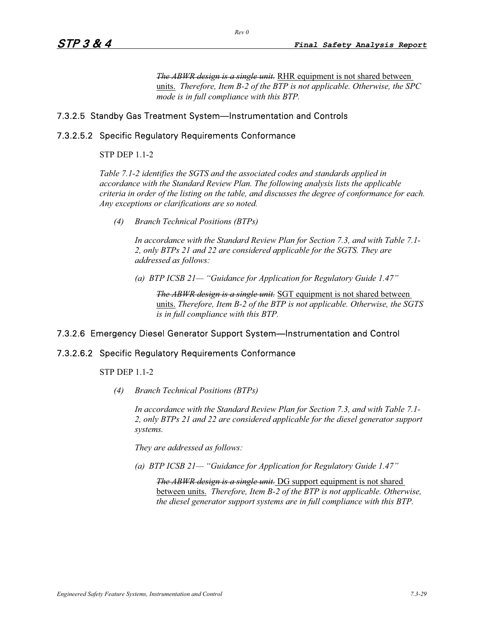*The ABWR design is a single unit.* RHR equipment is not shared between units. *Therefore, Item B-2 of the BTP is not applicable. Otherwise, the SPC mode is in full compliance with this BTP.* 

### 7.3.2.5 Standby Gas Treatment System—Instrumentation and Controls

### 7.3.2.5.2 Specific Regulatory Requirements Conformance

### STP DEP 1.1-2

*Table 7.1-2 identifies the SGTS and the associated codes and standards applied in accordance with the Standard Review Plan. The following analysis lists the applicable criteria in order of the listing on the table, and discusses the degree of conformance for each. Any exceptions or clarifications are so noted.* 

*(4) Branch Technical Positions (BTPs)* 

*In accordance with the Standard Review Plan for Section 7.3, and with Table 7.1- 2, only BTPs 21 and 22 are considered applicable for the SGTS. They are addressed as follows:* 

*(a) BTP ICSB 21— "Guidance for Application for Regulatory Guide 1.47"* 

*The ABWR design is a single unit.* SGT equipment is not shared between units. *Therefore, Item B-2 of the BTP is not applicable. Otherwise, the SGTS is in full compliance with this BTP.* 

## 7.3.2.6 Emergency Diesel Generator Support System—Instrumentation and Control

### 7.3.2.6.2 Specific Regulatory Requirements Conformance

STP DEP 1.1-2

*(4) Branch Technical Positions (BTPs)* 

*In accordance with the Standard Review Plan for Section 7.3, and with Table 7.1- 2, only BTPs 21 and 22 are considered applicable for the diesel generator support systems.*

*They are addressed as follows:* 

*(a) BTP ICSB 21— "Guidance for Application for Regulatory Guide 1.47"* 

*The ABWR design is a single unit.* DG support equipment is not shared between units. *Therefore, Item B-2 of the BTP is not applicable. Otherwise, the diesel generator support systems are in full compliance with this BTP.*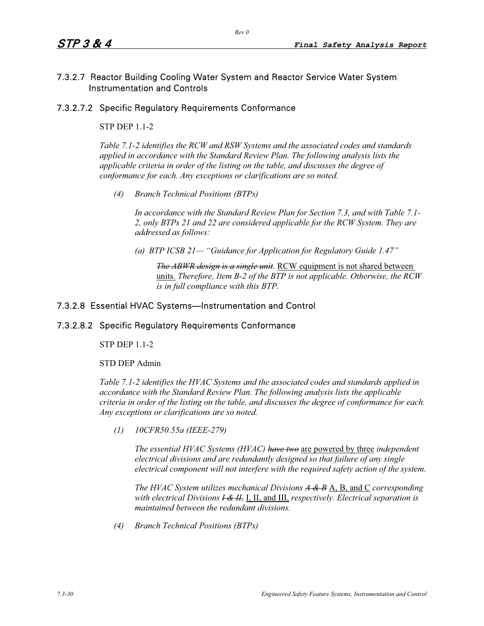# 7.3.2.7 Reactor Building Cooling Water System and Reactor Service Water System Instrumentation and Controls

## 7.3.2.7.2 Specific Regulatory Requirements Conformance

## STP DEP 1.1-2

*Table 7.1-2 identifies the RCW and RSW Systems and the associated codes and standards applied in accordance with the Standard Review Plan. The following analysis lists the applicable criteria in order of the listing on the table, and discusses the degree of conformance for each. Any exceptions or clarifications are so noted.* 

*(4) Branch Technical Positions (BTPs)* 

*In accordance with the Standard Review Plan for Section 7.3, and with Table 7.1- 2, only BTPs 21 and 22 are considered applicable for the RCW System. They are addressed as follows:* 

*(a) BTP ICSB 21— "Guidance for Application for Regulatory Guide 1.47"* 

*The ABWR design is a single unit.* RCW equipment is not shared between units. *Therefore, Item B-2 of the BTP is not applicable. Otherwise, the RCW is in full compliance with this BTP.* 

## 7.3.2.8 Essential HVAC Systems—Instrumentation and Control

## 7.3.2.8.2 Specific Regulatory Requirements Conformance

STP DEP 1.1-2

STD DEP Admin

*Table 7.1-2 identifies the HVAC Systems and the associated codes and standards applied in accordance with the Standard Review Plan. The following analysis lists the applicable criteria in order of the listing on the table, and discusses the degree of conformance for each. Any exceptions or clarifications are so noted.* 

*(1) 10CFR50.55a (IEEE-279)* 

*The essential HVAC Systems (HVAC) have two* are powered by three *independent electrical divisions and are redundantly designed so that failure of any single electrical component will not interfere with the required safety action of the system.* 

*The HVAC System utilizes mechanical Divisions A & B* A, B, and C *corresponding with electrical Divisions I & II,* I, II, and III, *respectively. Electrical separation is maintained between the redundant divisions.* 

*(4) Branch Technical Positions (BTPs)*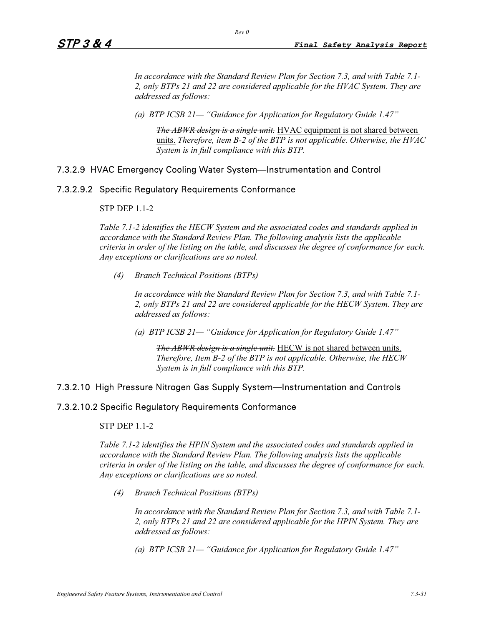*In accordance with the Standard Review Plan for Section 7.3, and with Table 7.1- 2, only BTPs 21 and 22 are considered applicable for the HVAC System. They are addressed as follows:* 

*(a) BTP ICSB 21— "Guidance for Application for Regulatory Guide 1.47"* 

*Rev 0* 

*The ABWR design is a single unit.* HVAC equipment is not shared between units. *Therefore, item B-2 of the BTP is not applicable. Otherwise, the HVAC System is in full compliance with this BTP.* 

## 7.3.2.9 HVAC Emergency Cooling Water System—Instrumentation and Control

## 7.3.2.9.2 Specific Regulatory Requirements Conformance

### STP DEP 1.1-2

*Table 7.1-2 identifies the HECW System and the associated codes and standards applied in accordance with the Standard Review Plan. The following analysis lists the applicable criteria in order of the listing on the table, and discusses the degree of conformance for each. Any exceptions or clarifications are so noted.* 

*(4) Branch Technical Positions (BTPs)* 

*In accordance with the Standard Review Plan for Section 7.3, and with Table 7.1- 2, only BTPs 21 and 22 are considered applicable for the HECW System. They are addressed as follows:* 

*(a) BTP ICSB 21— "Guidance for Application for Regulatory Guide 1.47"* 

*The ABWR design is a single unit.* HECW is not shared between units. *Therefore, Item B-2 of the BTP is not applicable. Otherwise, the HECW System is in full compliance with this BTP.* 

## 7.3.2.10 High Pressure Nitrogen Gas Supply System—Instrumentation and Controls

## 7.3.2.10.2 Specific Regulatory Requirements Conformance

#### STP DEP 1.1-2

*Table 7.1-2 identifies the HPIN System and the associated codes and standards applied in accordance with the Standard Review Plan. The following analysis lists the applicable criteria in order of the listing on the table, and discusses the degree of conformance for each. Any exceptions or clarifications are so noted.* 

*(4) Branch Technical Positions (BTPs)* 

*In accordance with the Standard Review Plan for Section 7.3, and with Table 7.1- 2, only BTPs 21 and 22 are considered applicable for the HPIN System. They are addressed as follows:* 

*(a) BTP ICSB 21— "Guidance for Application for Regulatory Guide 1.47"*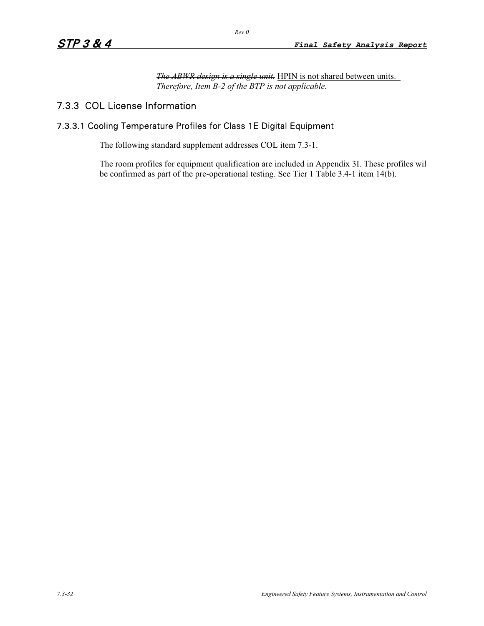*The ABWR design is a single unit.* HPIN is not shared between units. *Therefore, Item B-2 of the BTP is not applicable.*

# 7.3.3 COL License Information

# 7.3.3.1 Cooling Temperature Profiles for Class 1E Digital Equipment

The following standard supplement addresses COL item 7.3-1.

The room profiles for equipment qualification are included in Appendix 3I. These profiles wil be confirmed as part of the pre-operational testing. See Tier 1 Table 3.4-1 item 14(b).